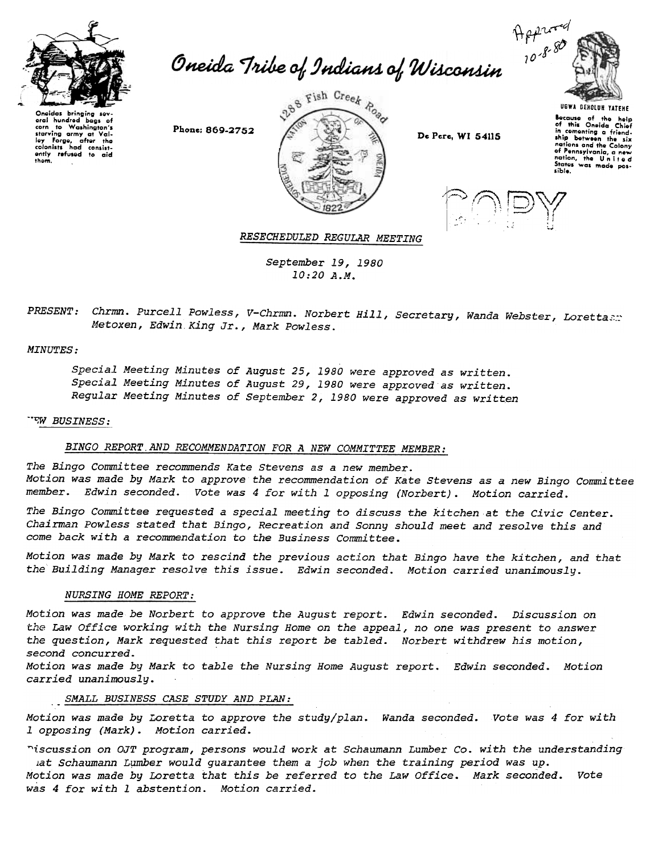

das bringing oral hundred bags of<br>corn to Washington's corn to Washington's<br>starving army at Val<br>ley Forge, after the colonists had consist<br>ently refused to aid thorn.





UGWA DEHOlUH YATEHE aocause of the help of this Oneida Chiof in cementing a friendship between the six<br><sup>nations</sup> and the Colony of Pennsylvania, a new<br>nation, the United<br>States was made pos-<br>sible.



RESECHEDULED REGULAR MEETING

September 19,1980 10:20 A.M.

PRESENT: Chrmn. Purcell Powless, V-Chrmn. Norbert Hill, Secretary, Wanda Webster, Lorettasr Metoxen, Edwin King Jr., Mark Powless.

#### **MINUTES:**

Special Meeting Minutes of August 25,1980 were approved as written. Special Meeting Minutes of August 29,1980 were approved as written. Regular Meeting Minutes of September 2,1980 were approved as written

#### -'-;W BUSINESS:

# BINGO REPORT.AND RECOMMENDATION FOR A NEW COMMITTEE MEMBER:

The Bingo Committee recommends Kate stevens as a new member. Motion was made by Mark to approve the recommendation of Kate Stevens as a new Bingo Committee member. Edwin seconded. Vote was 4 for with 1 opposing (Norbert). Motion carried.

The Bingo Committee requested a special meeting to discuss the kitchen at the Civic Center. Chairman Powless stated that Bingo, Recreation and Sonny should meet and resolve this and come back with a recommendation to the Business Committee.

Motion was made by Mark to rescind the previous action that Bingo have the kitchen, and that the Building Manager resolve this issue. Edwin seconded. Motion carried unanimously.

## NURSING HOME REPORT:

Motion was made be Norbert to approve the August report. Edwin seconded. Discussion on the Law Office working with the Nursing Home on the appeal, no one was present to answer the question, Mark requested that this report be tabled. Norbert withdrew his motion, second concurred.

Motion was made by Mark to table the Nursing Home August report. Edwin seconded. Motion carried unanimously.

# SMALL BUSINESS CASE STUDY AND PLAN:

Motion was made by Loretta to approve the study/plan. Wanda seconded. Vote was 4 for with 1 opposing (Mark). Motion carried.

~iscussion on OJT program, persons would work at Schaumann Lumber Co. with the understanding uat Schaumann Lumber would guarantee them a job when the training period was up Motion was made by Loretta that this be referred to the Law Office. Mark seconded. Vote was 4 for with 1 abstention. Motion carried.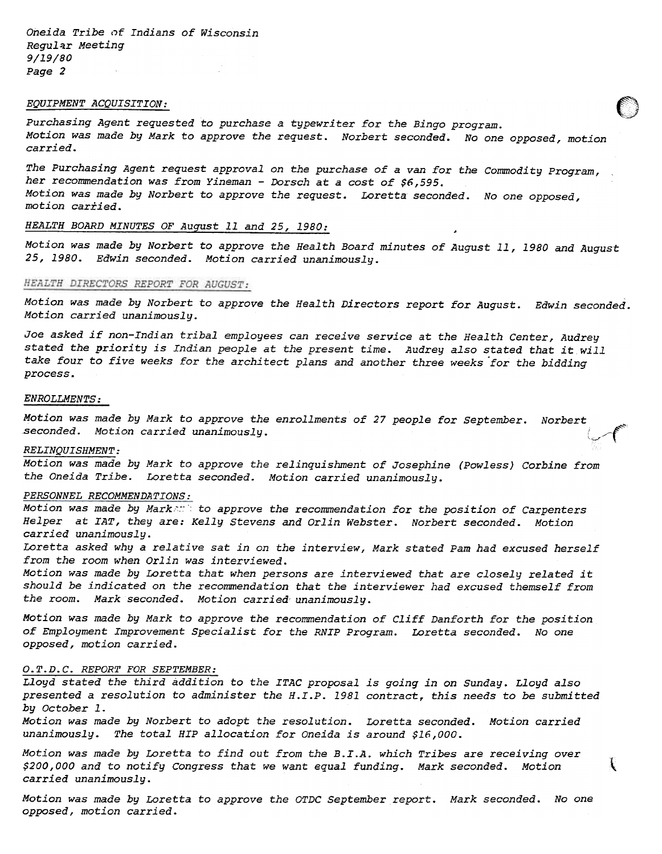Oneida Tribe of Indians of Wisconsin Regular Meeting 9/19/80 Page 2

### EQUIPMENT ACQUISITION:

Purchasing Agent requested to purchase a typewriter for the Bingo program. Motion was made by Mark to approve the request. Norbert seconded. No one opposed, motion carried.

The Purchasing Agent request approval on the purchase of a van for the Commodity Program, her recommendation was from Yineman - Dorsch at a cost of \$6,595. Motion was made by Norbert to approve the request. Loretta seconded. No one opposed, motion carried.

# HEALTH BOARD MINUTES OF August 11 and 25, 1980:

Motion was made by Norbert to approve the Health Board minutes of August 11, 1980 and August 25, 1980. Edwin seconded. Motion carried unanimously.

#### HEALTH DIRECTORS REPORT FOR AUGUST:

Motion was made by Norbert to approve the Health Directors report for August. Edwin seconded. Motion carried unanimously.

Joe asked if non-Indian tribal employees can receive service at the Health Center, Audrey stated the priority is Indian people at the present time. Audrey also stated that it will take four to five weeks for the architect plans and another three weeks for the bidding process.

## ENROLLMENTS:

Motion was made by Mark to approve the enrollments of 27 people for september. Norbert seconded. Motion carried unanimously.

#### RELINQUISHMENT:

Motion was made by Mark to approve the relinquishment of Josephine (Powless) Corbine from the Oneida Tribe. Loretta seconded. Motion carried unanimously.

# PERSONNEL RECOMMENDATIONS:

Motion was made by Marken: to approve the recommendation for the position of Carpenters Helper at IAT, they are: Kelly stevens and Orlin Webster. Norbert seconded. Motion carried unanimously.

Loretta asked why a relative sat in on the interview, Mark stated Pam had excused herself from the room when Orlin was interviewed.

Motion was made by Loretta that when persons are interviewed that are closely related it should be indicated on the recommendation that the interviewer had excused themself from the room. Mark seconded. Motion carried unanimously.

Motion was made by Mark to approve the recommendation of Cliff Danforth for the position of Employment Improvement Specialist for the RNIP Program. Loretta seconded. No one opposed, motion carried.

#### O.T.D.C. REPORT FOR SEPTEMBER:

Lloyd stated the third addition to the ITAC proposal is going in on Sunday. Lloyd also presented a resolution to administer the H.I.P. 1981 contract, this needs to be submitted by October 1.

Motion was made by Norbert to adopt the resolution. Loretta seconded. Motion carried unanimously. The total HIP allocation for Oneida is around \$16,000.

Motion was made by Loretta to find out from the B.I.A. which Tribes are receiving over \$200,000 and to notify Congress that we want equal funding. Mark seconded. Motion carried unanimously.

 $\left($ 

Motion was made by Loretta to approve the OTDC September report. Mark seconded. No one opposed, motion carried.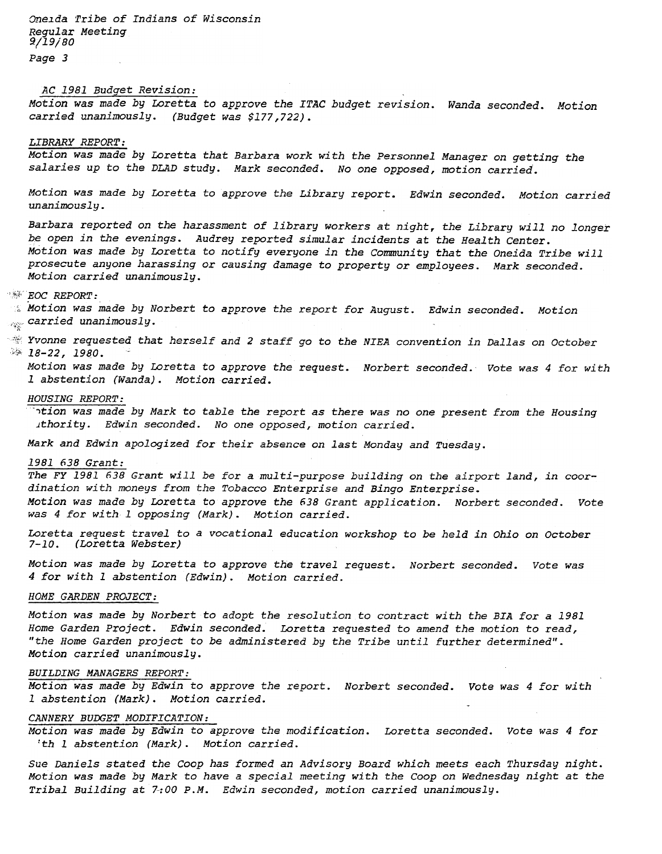Oneida Tribe of Indians of Wisconsin Regular Meeting 9/19/80 Page 3

# AC 1981 Budget Revision:

Motion was made by Loretta to approve the ITAC budget revision. Wanda seconded. Motion carried unanimously. (Budget was \$177,722).

### LIBRARY REPORT:

Motion was made by Loretta that Barbara work with the Personnel Manager on getting the salaries up to the DLAD study. Mark seconded. No one opposed, motion carried.

Motion was made by Loretta to approve the Library report. Edwin seconded. Motion carried unanimously.

Barbara reported on the harassment of library workers at night, the Library will no longer be open in the evenings. Audrey reported simular incidents at the Health Center. Motion was made by Loretta to notify everyone in the Community that the Oneida Tribe will prosecute anyone harassing or causing damage to property or employees. Mark seconded. Motion carried unanimously.

### $*$  $EOC$  REPORT:

 $\%$  Motion was made by Norbert to approve the report for August. Edwin seconded. Motion  $_{\mathbb{R}}$  carried unanimous

 $~^{\circ\circ\circ}$  Yvonne requested that herself and 2 staff go to the NIEA convention in Dallas on October  $: 18-22, 1980$ 

Motion was made by Loretta to approve the request. Norbert seconded. Vote was 4 for with 1 abstention (Wanda). Motion carried.

### HOUSING REPORT:

-'tion was made by Mark to table the report as there was no one present from the Housing .ithority. Edwin seconded. No one opposed, motion carried.

Mark and Edwin apologized for their absence on last Monday and Tuesday.

# 1981 638 Grant:

The FY 1981 638 Grant will be for a multi-purpose building on the airport land, in coordination with moneys from the Tobacco Enterprise and Bingo Enterprise. Motion was made by Loretta to approve the 638 Grant application. Norbert seconded. Vote was 4 for with 1 opposing (Mark). Motion carried.

Loretta request travel to a vocational education workshop to be held in Ohio on October 7-10. (Loretta Webster)

Motion was made by Loretta to approve the travel request. Norbert seconded. Vote was 4 for with 1 abstention (Edwin). Motion carried.

## HOME GARDEN PROJECT:

Motion was made by Norbert to adopt the resolution to contract with the BIA for a 1981 Home Garden Project. Edwin seconded. Loretta requested to amend the motion to read, "the Home Garden project to be administered by the Tribe until further determined". Motion carried unanimously.

### BUILDING MANAGERS REPORT:

Motion was made by Edwin to approve the report. Norbert seconded. Vote was 4 for with 1 abstention (Mark). Motion carried.

## CANNERY BUDGET MODIFICATION:

Motion was made by Edwin to approve the modification. Loretta seconded. Vote was 4 for 'th I abstention (Mark). Motion carried.

Sue Daniels stated the Coop has formed an Advisory Board which meets each Thursday night. Motion was made by Mark to have a special meeting with the Coop on Wednesday night at the Tribal Building at 7:00 P.M. Edwin seconded, motion carried unanimously.